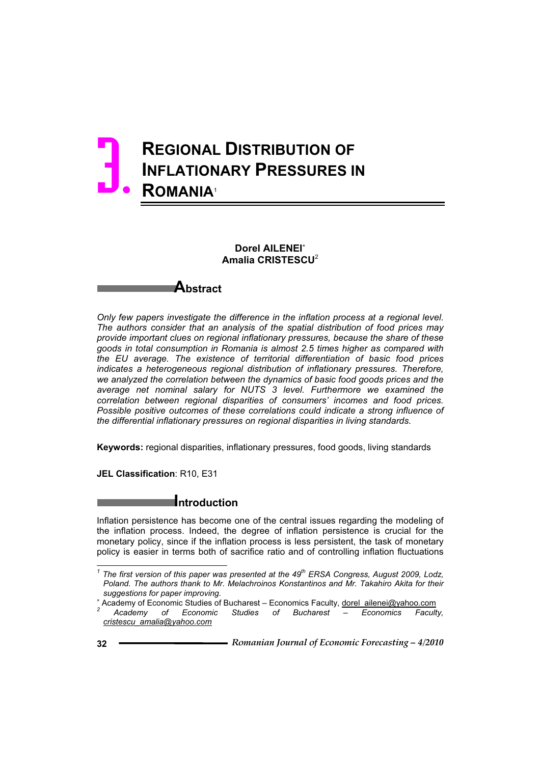# **REGIONAL DISTRIBUTION OF INFLATIONARY PRESSURES IN ROMANIA**<sup>1</sup> 3.

### **Dorel AILENEI Amalia CRISTESCU**<sup>2</sup>



*Only few papers investigate the difference in the inflation process at a regional level. The authors consider that an analysis of the spatial distribution of food prices may provide important clues on regional inflationary pressures, because the share of these goods in total consumption in Romania is almost 2.5 times higher as compared with the EU average. The existence of territorial differentiation of basic food prices indicates a heterogeneous regional distribution of inflationary pressures. Therefore, we analyzed the correlation between the dynamics of basic food goods prices and the average net nominal salary for NUTS 3 level. Furthermore we examined the correlation between regional disparities of consumers' incomes and food prices.*  Possible positive outcomes of these correlations could indicate a strong influence of *the differential inflationary pressures on regional disparities in living standards.* 

**Keywords:** regional disparities, inflationary pressures, food goods, living standards

**JEL Classification**: R10, E31

## **Introduction**

Inflation persistence has become one of the central issues regarding the modeling of the inflation process. Indeed, the degree of inflation persistence is crucial for the monetary policy, since if the inflation process is less persistent, the task of monetary policy is easier in terms both of sacrifice ratio and of controlling inflation fluctuations

 $\overline{a}$ 

*<sup>1</sup> The first version of this paper was presented at the 49th ERSA Congress, August 2009, Lodz, Poland. The authors thank to Mr. Melachroinos Konstantinos and Mr. Takahiro Akita for their suggestions for paper improving.* 

<sup>&</sup>lt;sup>2</sup><br>
Academy of Economic Studies of Bucharest – Economics Faculty, <u>dorel ailenei@yahoo.com</u><br>
<u>2</u><br>
<u>Conomics</u> Fourth  *Academy of Economic Studies of Bucharest – Economics Faculty, cristescu\_amalia@yahoo.com*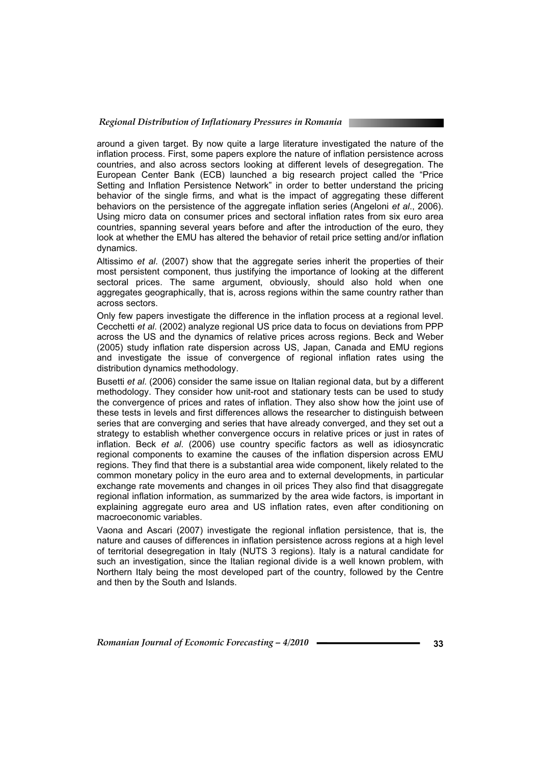#### *Regional Distribution of Inflationary Pressures in Romania*

around a given target. By now quite a large literature investigated the nature of the inflation process. First, some papers explore the nature of inflation persistence across countries, and also across sectors looking at different levels of desegregation. The European Center Bank (ECB) launched a big research project called the "Price Setting and Inflation Persistence Network" in order to better understand the pricing behavior of the single firms, and what is the impact of aggregating these different behaviors on the persistence of the aggregate inflation series (Angeloni *et al*., 2006). Using micro data on consumer prices and sectoral inflation rates from six euro area countries, spanning several years before and after the introduction of the euro, they look at whether the EMU has altered the behavior of retail price setting and/or inflation dynamics.

Altissimo *et al*. (2007) show that the aggregate series inherit the properties of their most persistent component, thus justifying the importance of looking at the different sectoral prices. The same argument, obviously, should also hold when one aggregates geographically, that is, across regions within the same country rather than across sectors.

Only few papers investigate the difference in the inflation process at a regional level. Cecchetti *et al*. (2002) analyze regional US price data to focus on deviations from PPP across the US and the dynamics of relative prices across regions. Beck and Weber (2005) study inflation rate dispersion across US, Japan, Canada and EMU regions and investigate the issue of convergence of regional inflation rates using the distribution dynamics methodology.

Busetti *et al*. (2006) consider the same issue on Italian regional data, but by a different methodology. They consider how unit-root and stationary tests can be used to study the convergence of prices and rates of inflation. They also show how the joint use of these tests in levels and first differences allows the researcher to distinguish between series that are converging and series that have already converged, and they set out a strategy to establish whether convergence occurs in relative prices or just in rates of inflation. Beck *et al*. (2006) use country specific factors as well as idiosyncratic regional components to examine the causes of the inflation dispersion across EMU regions. They find that there is a substantial area wide component, likely related to the common monetary policy in the euro area and to external developments, in particular exchange rate movements and changes in oil prices They also find that disaggregate regional inflation information, as summarized by the area wide factors, is important in explaining aggregate euro area and US inflation rates, even after conditioning on macroeconomic variables.

Vaona and Ascari (2007) investigate the regional inflation persistence, that is, the nature and causes of differences in inflation persistence across regions at a high level of territorial desegregation in Italy (NUTS 3 regions). Italy is a natural candidate for such an investigation, since the Italian regional divide is a well known problem, with Northern Italy being the most developed part of the country, followed by the Centre and then by the South and Islands.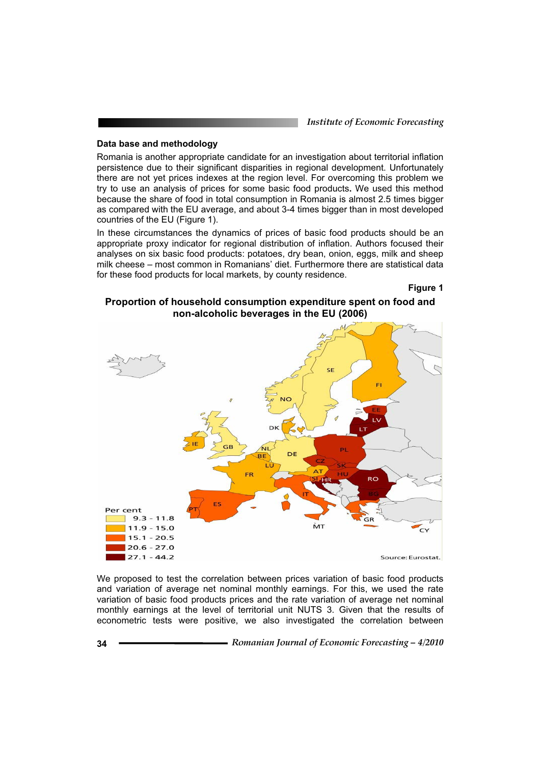*Institute of Economic Forecasting*

#### **Data base and methodology**

Romania is another appropriate candidate for an investigation about territorial inflation persistence due to their significant disparities in regional development. Unfortunately there are not yet prices indexes at the region level. For overcoming this problem we try to use an analysis of prices for some basic food products**.** We used this method because the share of food in total consumption in Romania is almost 2.5 times bigger as compared with the EU average, and about 3-4 times bigger than in most developed countries of the EU (Figure 1).

In these circumstances the dynamics of prices of basic food products should be an appropriate proxy indicator for regional distribution of inflation. Authors focused their analyses on six basic food products: potatoes, dry bean, onion, eggs, milk and sheep milk cheese – most common in Romanians' diet. Furthermore there are statistical data for these food products for local markets, by county residence.

**Figure 1** 

#### **Proportion of household consumption expenditure spent on food and non-alcoholic beverages in the EU (2006)**



We proposed to test the correlation between prices variation of basic food products and variation of average net nominal monthly earnings. For this, we used the rate variation of basic food products prices and the rate variation of average net nominal monthly earnings at the level of territorial unit NUTS 3. Given that the results of econometric tests were positive, we also investigated the correlation between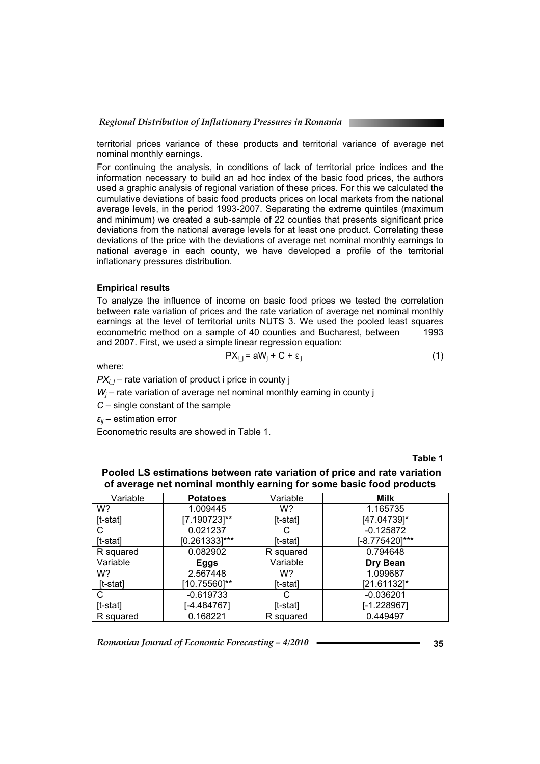territorial prices variance of these products and territorial variance of average net nominal monthly earnings.

For continuing the analysis, in conditions of lack of territorial price indices and the information necessary to build an ad hoc index of the basic food prices, the authors used a graphic analysis of regional variation of these prices. For this we calculated the cumulative deviations of basic food products prices on local markets from the national average levels, in the period 1993-2007. Separating the extreme quintiles (maximum and minimum) we created a sub-sample of 22 counties that presents significant price deviations from the national average levels for at least one product. Correlating these deviations of the price with the deviations of average net nominal monthly earnings to national average in each county, we have developed a profile of the territorial inflationary pressures distribution.

#### **Empirical results**

To analyze the influence of income on basic food prices we tested the correlation between rate variation of prices and the rate variation of average net nominal monthly earnings at the level of territorial units NUTS 3. We used the pooled least squares<br>econometric method on a sample of 40 counties and Bucharest, between 1993 econometric method on a sample of 40 counties and Bucharest, between and 2007. First, we used a simple linear regression equation:

$$
PX_{i,j} = aW_j + C + \varepsilon_{ij}
$$
 (1)

where:

 $PX<sub>i</sub>$  – rate variation of product i price in county j

*Wj* – rate variation of average net nominal monthly earning in county j

*C* – single constant of the sample

 $\epsilon_{ii}$  – estimation error

Econometric results are showed in Table 1.

**Table 1** 

| .                           |                  |           |                |  |  |  |
|-----------------------------|------------------|-----------|----------------|--|--|--|
| Variable<br><b>Potatoes</b> |                  | Variable  | <b>Milk</b>    |  |  |  |
| W?                          | 1.009445         | W?        | 1.165735       |  |  |  |
| [t-stat]                    | 17.1907231**     | [t-stat]  | (47.04739)*    |  |  |  |
| С                           | 0.021237         |           | $-0.125872$    |  |  |  |
| [t-stat]                    | $[0.261333]$ *** | [t-stat]  | [-8.775420]*** |  |  |  |
| R squared                   | 0.082902         | R squared | 0.794648       |  |  |  |
| Variable                    | Eggs             | Variable  | Dry Bean       |  |  |  |
| W?                          | 2.567448         | W?        | 1.099687       |  |  |  |
| [t-stat]                    | [10.75560]**     | [t-stat]  | [21.61132]*    |  |  |  |
| С                           | $-0.619733$      |           | $-0.036201$    |  |  |  |
| It-stat1                    | $[-4.484767]$    | [t-stat]  | $-1.228967$    |  |  |  |
| R squared                   | 0.168221         | R squared | 0.449497       |  |  |  |

 **Pooled LS estimations between rate variation of price and rate variation of average net nominal monthly earning for some basic food products**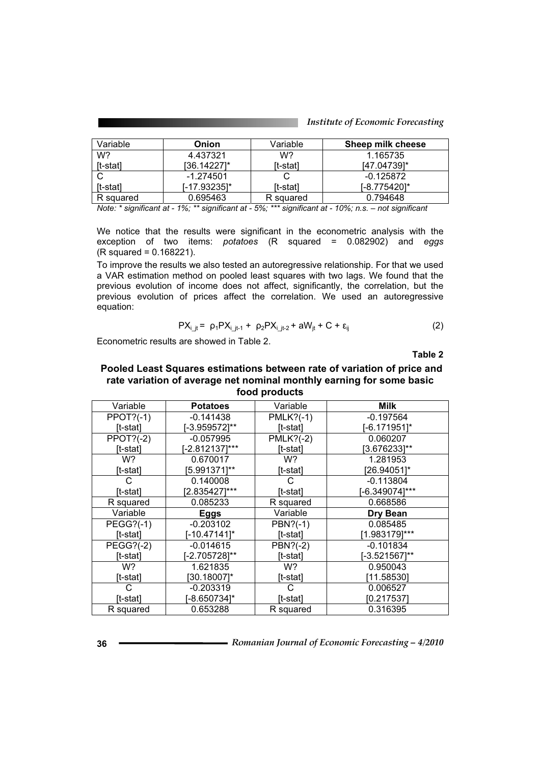| Variable   | Onion                   |                | Sheep milk cheese |
|------------|-------------------------|----------------|-------------------|
| W?         | 4.437321                | W?<br>1.165735 |                   |
| $[t-stat]$ | [36.14227]*<br>[t-stat] |                | $[47.04739]$ *    |
|            | $-1.274501$             |                | $-0.125872$       |
| [t-stat]   | I-17.932351*            | [t-stat]       | 1-8.7754201*      |
| R squared  | 0.695463                | R squared      | 0.794648          |

We notice that the results were significant in the econometric analysis with the exception of two items: *potatoes* (R squared = 0.082902) and *eggs* (R squared = 0.168221).

To improve the results we also tested an autoregressive relationship. For that we used a VAR estimation method on pooled least squares with two lags. We found that the previous evolution of income does not affect, significantly, the correlation, but the previous evolution of prices affect the correlation. We used an autoregressive equation:

$$
PX_{i_{j}t} = \rho_{1}PX_{i_{j}t-1} + \rho_{2}PX_{i_{j}t-2} + aW_{it} + C + \varepsilon_{ij}
$$
 (2)

Econometric results are showed in Table 2.

**Table 2** 

#### **Pooled Least Squares estimations between rate of variation of price and rate variation of average net nominal monthly earning for some basic food products**

| Variable         | <b>Potatoes</b> | Variable    | <b>Milk</b>    |
|------------------|-----------------|-------------|----------------|
| $PPOT?(-1)$      | $-0.141438$     | $PMLK?(-1)$ | $-0.197564$    |
| [t-stat]         | [-3.959572]**   | [t-stat]    | [-6.171951]*   |
| $PPOT?(-2)$      | $-0.057995$     | $PMLK?(-2)$ | 0.060207       |
| [t-stat]         | [-2.812137]***  | [t-stat]    | [3.676233]**   |
| W?               | 0.670017        | W?          | 1.281953       |
| [t-stat]         | [5.991371]**    | [t-stat]    | [26.94051]*    |
| С                | 0.140008        | C           | $-0.113804$    |
| [t-stat]         | [2.835427]***   | [t-stat]    | [-6.349074]*** |
| R squared        | 0.085233        | R squared   | 0.668586       |
| Variable         | <b>Eggs</b>     | Variable    | Dry Bean       |
| <b>PEGG?(-1)</b> | $-0.203102$     | PBN?(-1)    | 0.085485       |
| [t-stat]         | $[-10.47141]$ * | [t-stat]    | [1.983179]***  |
| <b>PEGG?(-2)</b> | $-0.014615$     | PBN?(-2)    | $-0.101834$    |
| [t-stat]         | -2.7057281**    | [t-stat]    | -3.5215671**   |
| W?               | 1.621835        | W?          | 0.950043       |
| [t-stat]         | [30.18007]*     | $[t-stat]$  | [11.58530]     |
| C.               | $-0.203319$     | C           | 0.006527       |
| [t-stat]         | [-8.650734]*    | [t-stat]    | [0.217537]     |
| R squared        | 0.653288        | R squared   | 0.316395       |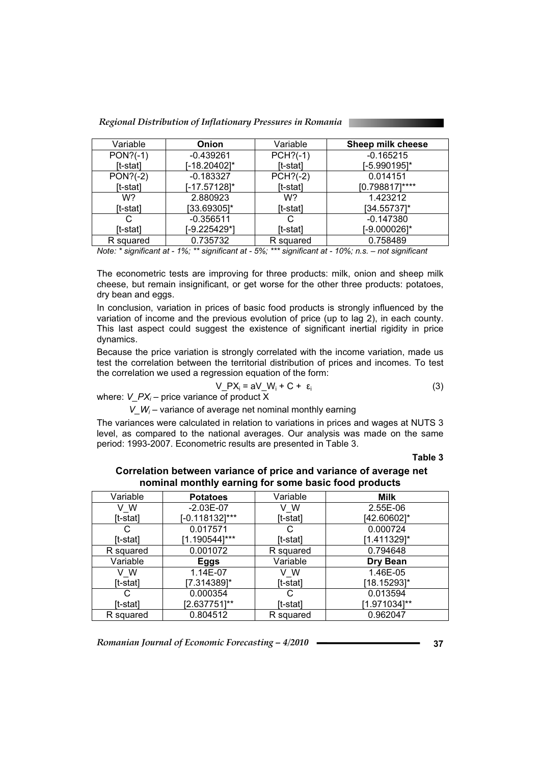*Regional Distribution of Inflationary Pressures in Romania* 

| Variable<br>Onion |              | Variable   | Sheep milk cheese |  |
|-------------------|--------------|------------|-------------------|--|
| $PON?(-1)$        | $-0.439261$  |            | $-0.165215$       |  |
| [t-stat]          | [-18.20402]* | [t-stat]   | [-5.990195]*      |  |
| $PON?(-2)$        | $-0.183327$  | $PCH?(-2)$ | 0.014151          |  |
| [t-stat]          | [-17.57128]* | [t-stat]   | $[0.798817]$ **** |  |
| W?                | 2.880923     | W?         | 1.423212          |  |
| [t-stat]          | [33.69305]*  | [t-stat]   | $[34.55737]$ *    |  |
| С                 | $-0.356511$  |            | $-0.147380$       |  |
| [t-stat]          | [-9.225429*] | [t-stat]   | [-9.000026]*      |  |
| R squared         | 0.735732     | R squared  | 0.758489          |  |

The econometric tests are improving for three products: milk, onion and sheep milk cheese, but remain insignificant, or get worse for the other three products: potatoes, dry bean and eggs.

In conclusion, variation in prices of basic food products is strongly influenced by the variation of income and the previous evolution of price (up to lag 2), in each county. This last aspect could suggest the existence of significant inertial rigidity in price dynamics.

Because the price variation is strongly correlated with the income variation, made us test the correlation between the territorial distribution of prices and incomes. To test the correlation we used a regression equation of the form:

$$
V_P X_i = aV_W + C + \varepsilon_i
$$
 (3)

where: *V\_PXi* – price variance of product X

 $V_{-}W_i$  – variance of average net nominal monthly earning

The variances were calculated in relation to variations in prices and wages at NUTS 3 level, as compared to the national averages. Our analysis was made on the same period: 1993-2007. Econometric results are presented in Table 3.

**Table 3** 

| Correlation between variance of price and variance of average net |
|-------------------------------------------------------------------|
| nominal monthly earning for some basic food products              |

| Variable      | <b>Potatoes</b>   | Variable                | Milk         |
|---------------|-------------------|-------------------------|--------------|
| V W           | $-2.03E-07$       | V W                     | 2.55E-06     |
| [t-stat]      | $[-0.118132]$ *** | [t-stat]                | [42.60602]*  |
| С             | 0.017571          | С                       | 0.000724     |
| [t-stat]      | [1.190544]***     | [1.411329]*<br>[t-stat] |              |
| R squared     | 0.001072          | R squared               | 0.794648     |
| Variable      | Eggs              |                         | Dry Bean     |
| V W           | 1.14E-07<br>v w   |                         | 1.46E-05     |
| [t-stat]      | [7.314389]*       | [t-stat]                | [18.15293]*  |
| 0.000354<br>С |                   | С                       | 0.013594     |
| [t-stat]      | $[2.637751]^{**}$ | [t-stat]                | [1.971034]** |
| R squared     | 0.804512          | R squared               | 0.962047     |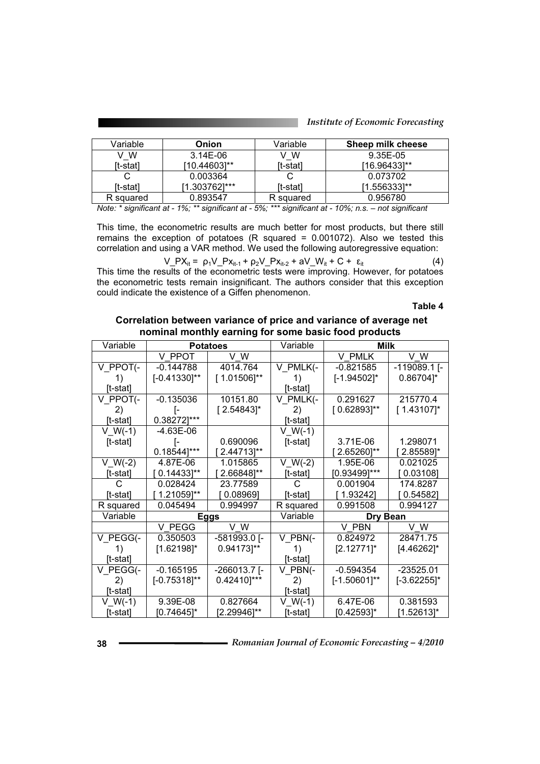| Variable<br><b>Onion</b> |                 | Variable  | Sheep milk cheese |
|--------------------------|-----------------|-----------|-------------------|
| v w                      | W<br>$3.14E-06$ |           | 9.35E-05          |
| [t-stat]                 | [10.44603]**    | [t-stat]  | $[16.96433]^{**}$ |
|                          | 0.003364        |           | 0.073702          |
| [t-stat]                 | [1.303762]***   | [t-stat]  | [1.556333]**      |
| R squared                | 0.893547        | R squared | 0.956780          |

This time, the econometric results are much better for most products, but there still remains the exception of potatoes (R squared = 0.001072). Also we tested this correlation and using a VAR method. We used the following autoregressive equation:

$$
V_P X_{it} = \rho_1 V_P X_{it-1} + \rho_2 V_P X_{it-2} + aV_N_{it} + C + \varepsilon_{it}
$$
 (4)

This time the results of the econometric tests were improving. However, for potatoes the econometric tests remain insignificant. The authors consider that this exception could indicate the existence of a Giffen phenomenon.

**Table 4** 

 **Correlation between variance of price and variance of average net nominal monthly earning for some basic food products** 

| Variable    | <b>Potatoes</b>         |                  | Variable                 | Milk             |                |
|-------------|-------------------------|------------------|--------------------------|------------------|----------------|
|             | V PPOT                  | V W              |                          | V PMLK           | V W            |
| V_PPOT(-    | $-0.144788$             | 4014.764         | V PMLK(-                 | $-0.821585$      | $-119089.1$ [- |
| 1)          | $[-0.41330]^{**}$       | $[1.01506]^{**}$ | 1)                       | $[-1.94502]$ *   | 0.86704]*      |
| [t-stat]    |                         |                  | [t-stat]                 |                  |                |
| V PPOT(-    | $-0.135036$             | 10151.80         | V PMLK(-                 | 0.291627         | 215770.4       |
| 2)          |                         | $[2.54843]$ *    | 2)                       | $[0.62893]^{**}$ | $[1.43107]$ *  |
| [t-stat]    | 0.38272]***             |                  | [t-stat]                 |                  |                |
| $V_{W(-1)}$ | -4.63E-06               |                  | $V_{W(-1)}$              |                  |                |
| $[t-stat]$  | I-                      | 0.690096         | $[t-stat]$               | 3.71E-06         | 1.298071       |
|             | $0.18544$ ]***          | 2.44713]**       |                          | 2.65260]**       | 2.85589]*      |
| $V_{W(-2)}$ | 4.87E-06                | 1.015865         | $V_{W(-2)}$              | 1.95E-06         | 0.021025       |
| [t-stat]    | $0.14433$ <sup>**</sup> | 2.66848]**       | [t-stat]                 | $[0.93499]$ ***  | [ 0.03108]     |
| C           | 0.028424                | 23.77589         | C.                       | 0.001904         | 174.8287       |
| [t-stat]    | 1.21059]**              | [0.08969]        | [t-stat]                 | [ 1.93242]       | [0.54582]      |
| R squared   | 0.045494                | 0.994997         | R squared                | 0.991508         | 0.994127       |
| Variable    |                         | <b>Eggs</b>      | Variable                 | Dry Bean         |                |
|             | V PEGG                  | V W              |                          | V PBN            | V W            |
| V PEGG(-    | 0.350503                | -581993.0 [-     | V PBN(-                  | 0.824972         | 28471.75       |
| 1)          | $[1.62198]$ *           | 0.94173]**       | 1)                       | $[2.12771]$ *    | [4.46262]*     |
| [t-stat]    |                         |                  | [t-stat]                 |                  |                |
| V PEGG(-    | $-0.165195$             | $-266013.7$ [-   | $V$ PBN $\left(-\right)$ | -0.594354        | $-23525.01$    |
| 2)          | $[-0.75318]^{**}$       | 0.42410]***      | 2)                       | $[-1.50601]$ **  | $[-3.62255]$ * |
| [t-stat]    |                         |                  | [t-stat]                 |                  |                |
| $V_{W(-1)}$ | 9.39E-08                | 0.827664         | $V W(-1)$                | 6.47E-06         | 0.381593       |
| [t-stat]    | [0.74645]*              | [2.29946]**      | [t-stat]                 | [0.42593]*       | [1.52613]*     |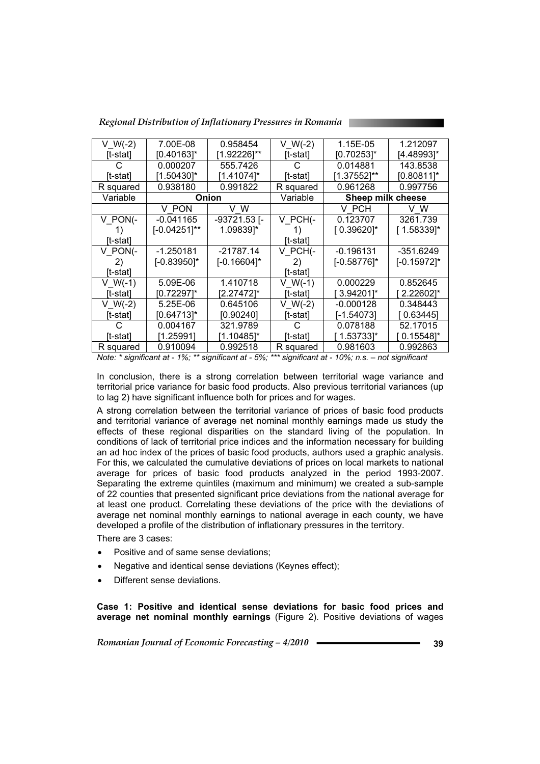| Regional Distribution of Inflationary Pressures in Romania |  |  |
|------------------------------------------------------------|--|--|
|                                                            |  |  |

| $V_{W(-2)}$ | 7.00E-08        | 0.958454       | $V W(-2)$ | 1.15E-05          | 1.212097       |
|-------------|-----------------|----------------|-----------|-------------------|----------------|
| [t-stat]    | [0.40163]*      | [1.92226]**    | [t-stat]  | [0.70253]*        | [4.48993]*     |
|             | 0.000207        | 555.7426       | C         | 0.014881          | 143.8538       |
| [t-stat]    | [1.50430]*      | [1.41074]*     | [t-stat]  | [1.37552]**       | [0.80811]*     |
| R squared   | 0.938180        | 0.991822       | R squared | 0.961268          | 0.997756       |
| Variable    |                 | Onion          | Variable  | Sheep milk cheese |                |
|             | V PON           | v w            |           | V PCH             | v w            |
| V PON(-     | -0.041165       | -93721.53 [-   | V PCH(-   | 0.123707          | 3261.739       |
|             | $[-0.04251]$ ** | 1.09839]*      | 1)        | $[0.39620]$ *     | $[1.58339]$ *  |
| [t-stat]    |                 |                | [t-stat]  |                   |                |
| V PON(-     | $-1.250181$     | $-21787.14$    | V PCH(-   | $-0.196131$       | -351.6249      |
| 2)          | $[-0.83950]$ *  | $[-0.16604]$ * | 2)        | $[-0.58776]$ *    | $[-0.15972]$ * |
| [t-stat]    |                 |                | [t-stat]  |                   |                |
| $V$ W(-1)   | 5.09E-06        | 1.410718       | V W(-1)   | 0.000229          | 0.852645       |
| [t-stat]    | [0.72297]*      | [2.27472]*     | [t-stat]  | 3.942011*         | 2.226021*      |
| $V W(-2)$   | 5.25E-06        | 0.645106       | $V W(-2)$ | $-0.000128$       | 0.348443       |
| [t-stat]    | [0.64713]*      | [0.90240]      | [t-stat]  | [-1.54073]        | 0.63445        |
| G           | 0.004167        | 321.9789       | С         | 0.078188          | 52.17015       |
| [t-stat]    | [1.25991]       | [1.10485]*     | [t-stat]  | 1.53733]*         | [ 0.15548]*    |
| R squared   | 0.910094        | 0.992518       | R squared | 0.981603          | 0.992863       |

In conclusion, there is a strong correlation between territorial wage variance and territorial price variance for basic food products. Also previous territorial variances (up to lag 2) have significant influence both for prices and for wages.

A strong correlation between the territorial variance of prices of basic food products and territorial variance of average net nominal monthly earnings made us study the effects of these regional disparities on the standard living of the population. In conditions of lack of territorial price indices and the information necessary for building an ad hoc index of the prices of basic food products, authors used a graphic analysis. For this, we calculated the cumulative deviations of prices on local markets to national average for prices of basic food products analyzed in the period 1993-2007. Separating the extreme quintiles (maximum and minimum) we created a sub-sample of 22 counties that presented significant price deviations from the national average for at least one product. Correlating these deviations of the price with the deviations of average net nominal monthly earnings to national average in each county, we have developed a profile of the distribution of inflationary pressures in the territory.

There are 3 cases:

- Positive and of same sense deviations:
- Negative and identical sense deviations (Keynes effect);
- Different sense deviations.

**Case 1: Positive and identical sense deviations for basic food prices and average net nominal monthly earnings** (Figure 2). Positive deviations of wages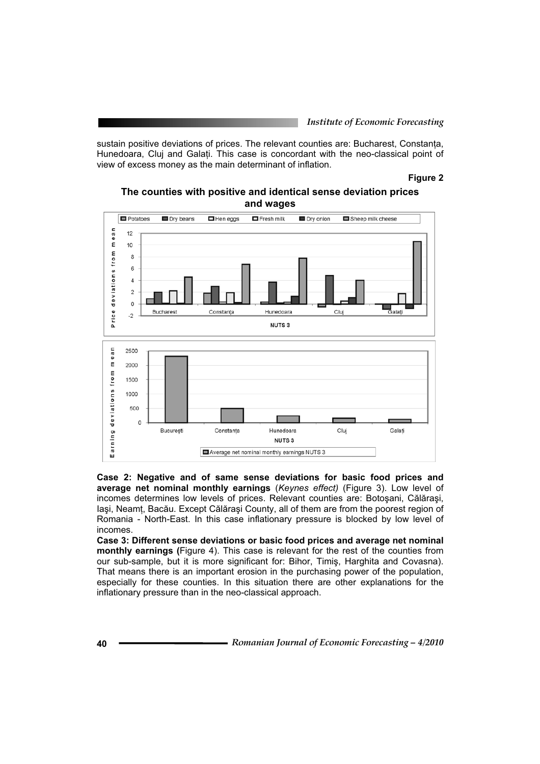sustain positive deviations of prices. The relevant counties are: Bucharest, Constanța, Hunedoara, Cluj and Galati. This case is concordant with the neo-classical point of view of excess money as the main determinant of inflation.

#### **Figure 2**

#### **The counties with positive and identical sense deviation prices and wages**



**Case 2: Negative and of same sense deviations for basic food prices and average net nominal monthly earnings** (*Keynes effect)* (Figure 3). Low level of incomes determines low levels of prices. Relevant counties are: Botosani, Călărași, lași, Neamt, Bacău. Except Călărași County, all of them are from the poorest region of Romania - North-East. In this case inflationary pressure is blocked by low level of incomes.

**Case 3: Different sense deviations or basic food prices and average net nominal monthly earnings (**Figure 4). This case is relevant for the rest of the counties from our sub-sample, but it is more significant for: Bihor, Timis, Harghita and Covasna). That means there is an important erosion in the purchasing power of the population, especially for these counties. In this situation there are other explanations for the inflationary pressure than in the neo-classical approach.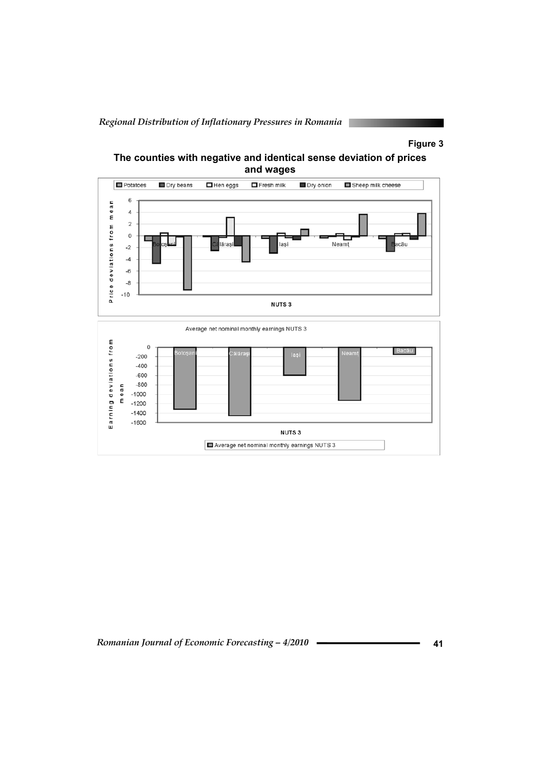*Regional Distribution of Inflationary Pressures in Romania* 

## **Figure 3**



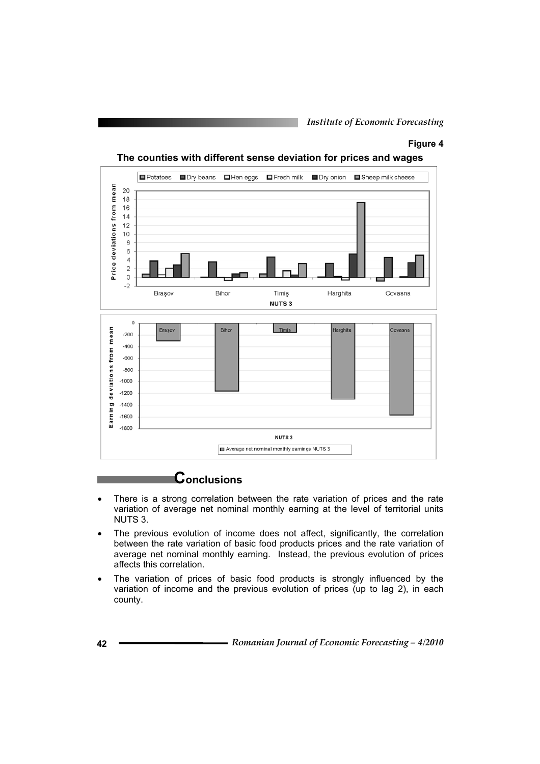#### **Figure 4**



**The counties with different sense deviation for prices and wages** 

# **Conclusions**

- There is a strong correlation between the rate variation of prices and the rate variation of average net nominal monthly earning at the level of territorial units NUTS 3.
- The previous evolution of income does not affect, significantly, the correlation between the rate variation of basic food products prices and the rate variation of average net nominal monthly earning. Instead, the previous evolution of prices affects this correlation.
- The variation of prices of basic food products is strongly influenced by the variation of income and the previous evolution of prices (up to lag 2), in each county.